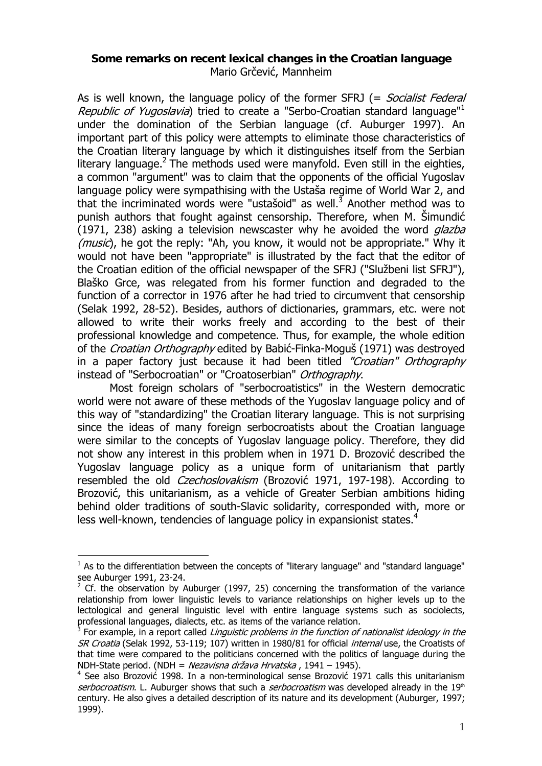## **Some remarks on recent lexical changes in the Croatian language**  Mario Grčević, Mannheim

As is well known, the language policy of the former SFRJ (= Socialist Federal Republic of Yugoslavia) tried to create a "Serbo-Croatian standard language"<sup>1</sup> under the domination of the Serbian language (cf. Auburger 1997). An important part of this policy were attempts to eliminate those characteristics of the Croatian literary language by which it distinguishes itself from the Serbian literary language.<sup>2</sup> The methods used were manyfold. Even still in the eighties, a common "argument" was to claim that the opponents of the official Yugoslav language policy were sympathising with the Ustaša regime of World War 2, and that the incriminated words were "ustašoid" as well. $^3$  Another method was to punish authors that fought against censorship. Therefore, when M. Šimundić (1971, 238) asking a television newscaster why he avoided the word  $q$ lazba (*music*), he got the reply: "Ah, you know, it would not be appropriate." Why it would not have been "appropriate" is illustrated by the fact that the editor of the Croatian edition of the official newspaper of the SFRJ ("Službeni list SFRJ"), Blaško Grce, was relegated from his former function and degraded to the function of a corrector in 1976 after he had tried to circumvent that censorship (Selak 1992, 28-52). Besides, authors of dictionaries, grammars, etc. were not allowed to write their works freely and according to the best of their professional knowledge and competence. Thus, for example, the whole edition of the Croatian Orthography edited by Babić-Finka-Moguš (1971) was destroyed in a paper factory just because it had been titled "Croatian" Orthography instead of "Serbocroatian" or "Croatoserbian" Orthography.

Most foreign scholars of "serbocroatistics" in the Western democratic world were not aware of these methods of the Yugoslav language policy and of this way of "standardizing" the Croatian literary language. This is not surprising since the ideas of many foreign serbocroatists about the Croatian language were similar to the concepts of Yugoslav language policy. Therefore, they did not show any interest in this problem when in 1971 D. Brozović described the Yugoslav language policy as a unique form of unitarianism that partly resembled the old *Czechoslovakism* (Brozović 1971, 197-198). According to Brozović, this unitarianism, as a vehicle of Greater Serbian ambitions hiding behind older traditions of south-Slavic solidarity, corresponded with, more or less well-known, tendencies of language policy in expansionist states.<sup>4</sup>

 $<sup>1</sup>$  As to the differentiation between the concepts of "literary language" and "standard language"</sup>

see Auburger 1991, 23-24.<br><sup>2</sup> Cf. the observation by Auburger (1997, 25) concerning the transformation of the variance relationship from lower linguistic levels to variance relationships on higher levels up to the lectological and general linguistic level with entire language systems such as sociolects, professional languages, dialects, etc. as items of the variance relation.

 $3$  For example, in a report called *Linguistic problems in the function of nationalist ideology in the* SR Croatia (Selak 1992, 53-119; 107) written in 1980/81 for official internal use, the Croatists of that time were compared to the politicians concerned with the politics of language during the NDH-State period. (NDH = Nezavisna država Hrvatska , 1941 – 1945).

<sup>&</sup>lt;sup>4</sup> See also Brozović 1998. In a non-terminological sense Brozović 1971 calls this unitarianism serbocroatism. L. Auburger shows that such a *serbocroatism* was developed already in the 19<sup>th</sup> century. He also gives a detailed description of its nature and its development (Auburger, 1997; 1999).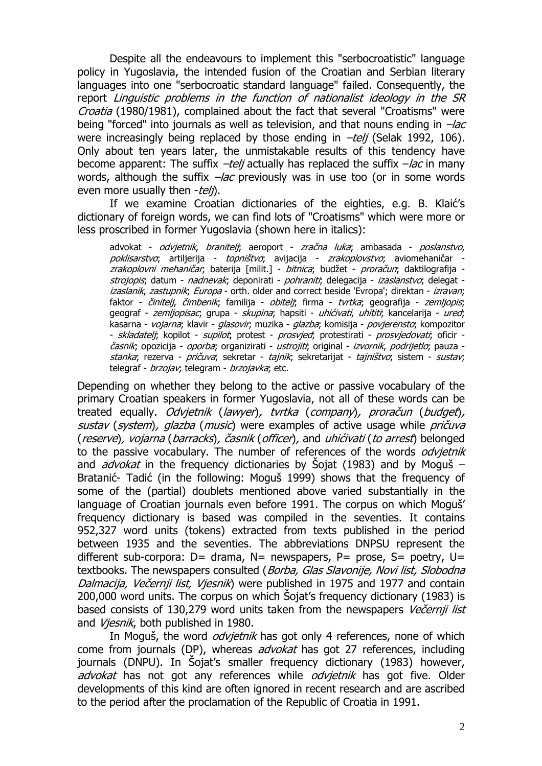Despite all the endeavours to implement this "serbocroatistic" language policy in Yugoslavia, the intended fusion of the Croatian and Serbian literary languages into one "serbocroatic standard language" failed. Consequently, the report Linguistic problems in the function of nationalist ideology in the SR Croatia (1980/1981), complained about the fact that several "Croatisms" were being "forced" into journals as well as television, and that nouns ending in  $-\text{lac}$ were increasingly being replaced by those ending in  $-\frac{te}{i}$  (Selak 1992, 106). Only about ten years later, the unmistakable results of this tendency have become apparent: The suffix  $-\frac{tel}{l}$  actually has replaced the suffix  $-\frac{lac}{l}$  in many words, although the suffix  $-\text{lac}$  previously was in use too (or in some words even more usually then  $-teli$ .

If we examine Croatian dictionaries of the eighties, e.g. B. Klaić's dictionary of foreign words, we can find lots of "Croatisms" which were more or less proscribed in former Yugoslavia (shown here in italics):

advokat - *odvjetnik, braniteli*; aeroport - *zračna luka*; ambasada - *poslanstvo,* poklisarstvo; artiljerija - topništvo; avijacija - zrakoplovstvo; aviomehaničar *zrakoplovni mehaničar*; baterija [milit.] - *bitnica*; budžet - *proračun*; daktilografija *strojopis*; datum - *nadnevak*; deponirati - *pohraniti*; delegacija - *izaslanstvo*; delegat izaslanik, zastupnik; Europa - orth. older and correct beside 'Evropa'; direktan - izravan; faktor - činitelj, čimbenik; familija - obitelj; firma - tvrtka; geografija - zemljopis; geograf - zemljopisac, grupa - skupina; hapsiti - uhićivati, uhititi, kancelarija - ured; kasarna - vojarna; klavir - glasovir; muzika - glazba; komisija - povjerensto; kompozitor - *skladateli*; kopilot - *supilot*; protest - *prosvjed*; protestirati - *prosvjedovati*; oficir časnik; opozicija - oporba; organizirati - ustrojiti; original - izvornik, podrijetlo; pauza stanka; rezerva - pričuva; sekretar - tajnik; sekretarijat - tajništvo; sistem - sustav; telegraf - brzojav; telegram - brzojavka; etc.

Depending on whether they belong to the active or passive vocabulary of the primary Croatian speakers in former Yugoslavia, not all of these words can be treated equally. Odvjetnik (lawyer), tvrtka (company), proračun (budget), sustav (system), glazba (music) were examples of active usage while pričuva (reserve), vojarna (barracks), časnik (officer), and uhićivati (to arrest) belonged to the passive vocabulary. The number of references of the words *odvietnik* and *advokat* in the frequency dictionaries by Sojat (1983) and by Moguš – Bratanić- Tadić (in the following: Moguš 1999) shows that the frequency of some of the (partial) doublets mentioned above varied substantially in the language of Croatian journals even before 1991. The corpus on which Moguš' frequency dictionary is based was compiled in the seventies. It contains 952,327 word units (tokens) extracted from texts published in the period between 1935 and the seventies. The abbreviations DNPSU represent the different sub-corpora:  $D=$  drama,  $N=$  newspapers,  $P=$  prose,  $S=$  poetry,  $U=$ textbooks. The newspapers consulted (Borba, Glas Slavonije, Novi list, Slobodna Dalmacija, Večernji list, Vjesnik) were published in 1975 and 1977 and contain 200,000 word units. The corpus on which Šojat's frequency dictionary (1983) is based consists of 130,279 word units taken from the newspapers Večernji list and Viesnik, both published in 1980.

In Moguš, the word *odvietnik* has got only 4 references, none of which come from journals (DP), whereas *advokat* has got 27 references, including journals (DNPU). In Šojat's smaller frequency dictionary (1983) however, advokat has not got any references while odvietnik has got five. Older developments of this kind are often ignored in recent research and are ascribed to the period after the proclamation of the Republic of Croatia in 1991.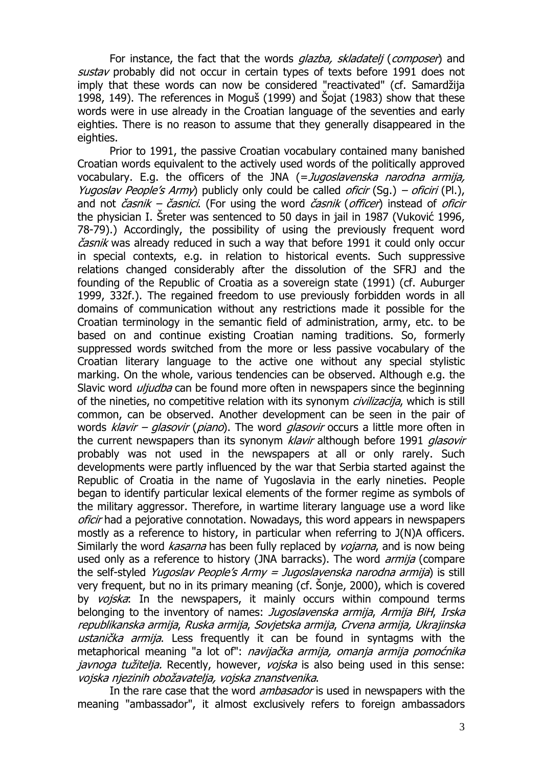For instance, the fact that the words *glazba, skladatelj (composer*) and sustav probably did not occur in certain types of texts before 1991 does not imply that these words can now be considered "reactivated" (cf. Samardžija 1998, 149). The references in Moguš (1999) and Šojat (1983) show that these words were in use already in the Croatian language of the seventies and early eighties. There is no reason to assume that they generally disappeared in the eighties.

Prior to 1991, the passive Croatian vocabulary contained many banished Croatian words equivalent to the actively used words of the politically approved vocabulary. E.g. the officers of the JNA (= Jugoslavenska narodna armija, Yugoslav People's Army) publicly only could be called oficir (Sq.) – oficiri (Pl.), and not *časnik – časnici*. (For using the word *časnik (officer*) instead of *oficir* the physician I. Šreter was sentenced to 50 days in jail in 1987 (Vuković 1996, 78-79).) Accordingly, the possibility of using the previously frequent word časnik was already reduced in such a way that before 1991 it could only occur in special contexts, e.g. in relation to historical events. Such suppressive relations changed considerably after the dissolution of the SFRJ and the founding of the Republic of Croatia as a sovereign state (1991) (cf. Auburger 1999, 332f.). The regained freedom to use previously forbidden words in all domains of communication without any restrictions made it possible for the Croatian terminology in the semantic field of administration, army, etc. to be based on and continue existing Croatian naming traditions. So, formerly suppressed words switched from the more or less passive vocabulary of the Croatian literary language to the active one without any special stylistic marking. On the whole, various tendencies can be observed. Although e.g. the Slavic word *uljudba* can be found more often in newspapers since the beginning of the nineties, no competitive relation with its synonym *civilizacija*, which is still common, can be observed. Another development can be seen in the pair of words  $klavir - glasovir (piano)$ . The word *glasovir* occurs a little more often in the current newspapers than its synonym *klavir* although before 1991 *glasovir* probably was not used in the newspapers at all or only rarely. Such developments were partly influenced by the war that Serbia started against the Republic of Croatia in the name of Yugoslavia in the early nineties. People began to identify particular lexical elements of the former regime as symbols of the military aggressor. Therefore, in wartime literary language use a word like oficir had a pejorative connotation. Nowadays, this word appears in newspapers mostly as a reference to history, in particular when referring to J(N)A officers. Similarly the word *kasarna* has been fully replaced by *vojarna*, and is now being used only as a reference to history (JNA barracks). The word *armija* (compare the self-styled Yugoslav People's Army = Jugoslavenska narodna armija) is still very frequent, but no in its primary meaning (cf. Šonje, 2000), which is covered by vojska: In the newspapers, it mainly occurs within compound terms belonging to the inventory of names: Jugoslavenska armija, Armija BiH, Irska republikanska armija, Ruska armija, Sovjetska armija, Crvena armija, Ukrajinska ustanička armija. Less frequently it can be found in syntagms with the metaphorical meaning "a lot of": *navijačka armija, omanja armija pomoćnika javnoga tužitelja.* Recently, however, *vojska* is also being used in this sense: vojska njezinih obožavatelja, vojska znanstvenika.

In the rare case that the word *ambasador* is used in newspapers with the meaning "ambassador", it almost exclusively refers to foreign ambassadors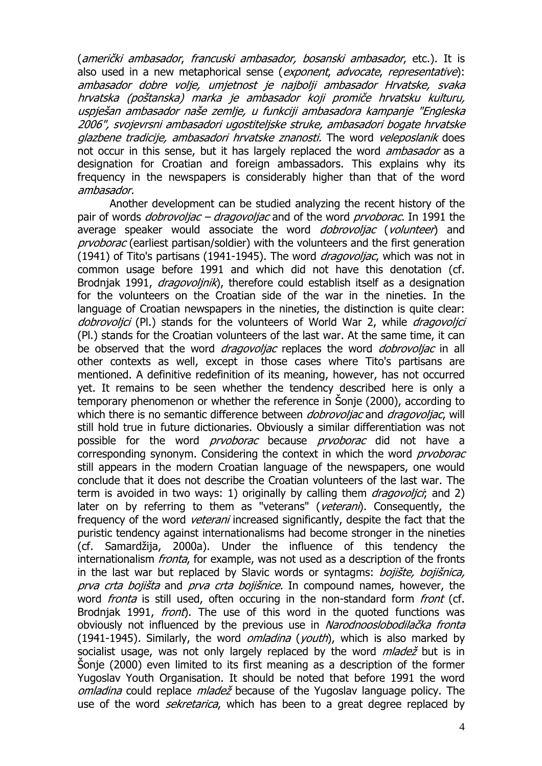(američki ambasador, francuski ambasador, bosanski ambasador, etc.). It is also used in a new metaphorical sense (exponent, advocate, representative): ambasador dobre volje, umjetnost je najbolji ambasador Hrvatske, svaka hrvatska (poštanska) marka je ambasador koji promiče hrvatsku kulturu, uspješan ambasador naše zemlje, u funkciji ambasadora kampanje "Engleska 2006", svojevrsni ambasadori ugostiteljske struke, ambasadori bogate hrvatske glazbene tradicije, ambasadori hrvatske znanosti. The word veleposlanik does not occur in this sense, but it has largely replaced the word *ambasador* as a designation for Croatian and foreign ambassadors. This explains why its frequency in the newspapers is considerably higher than that of the word ambasador.

Another development can be studied analyzing the recent history of the pair of words *dobrovoliac – dragovoliac* and of the word *prvoborac*. In 1991 the average speaker would associate the word *dobrovoljac* (volunteer) and prvoborac (earliest partisan/soldier) with the volunteers and the first generation (1941) of Tito's partisans (1941-1945). The word *dragovoliac*, which was not in common usage before 1991 and which did not have this denotation (cf. Brodniak 1991, *dragovolinik*), therefore could establish itself as a designation for the volunteers on the Croatian side of the war in the nineties. In the language of Croatian newspapers in the nineties, the distinction is quite clear: dobrovoljci (Pl.) stands for the volunteers of World War 2, while dragovoljci (Pl.) stands for the Croatian volunteers of the last war. At the same time, it can be observed that the word *dragovoljac* replaces the word *dobrovoljac* in all other contexts as well, except in those cases where Tito's partisans are mentioned. A definitive redefinition of its meaning, however, has not occurred yet. It remains to be seen whether the tendency described here is only a temporary phenomenon or whether the reference in Šonje (2000), according to which there is no semantic difference between *dobrovoljac* and *dragovoljac*, will still hold true in future dictionaries. Obviously a similar differentiation was not possible for the word *prvoborac* because *prvoborac* did not have a corresponding synonym. Considering the context in which the word *prvoborac* still appears in the modern Croatian language of the newspapers, one would conclude that it does not describe the Croatian volunteers of the last war. The term is avoided in two ways: 1) originally by calling them  $dragovolici$ ; and 2) later on by referring to them as "veterans" (veterani). Consequently, the frequency of the word *veterani* increased significantly, despite the fact that the puristic tendency against internationalisms had become stronger in the nineties (cf. Samardžija, 2000a). Under the influence of this tendency the internationalism *fronta*, for example, was not used as a description of the fronts in the last war but replaced by Slavic words or syntagms: *bojište, bojišnica,* prva crta bojišta and prva crta bojišnice. In compound names, however, the word *fronta* is still used, often occuring in the non-standard form *front* (cf. Brodniak 1991, *front*). The use of this word in the quoted functions was obviously not influenced by the previous use in Narodnooslobodilačka fronta (1941-1945). Similarly, the word *omladina* (*youth*), which is also marked by socialist usage, was not only largely replaced by the word *mladež* but is in Šonje (2000) even limited to its first meaning as a description of the former Yugoslav Youth Organisation. It should be noted that before 1991 the word omladina could replace mladež because of the Yugoslav language policy. The use of the word *sekretarica*, which has been to a great degree replaced by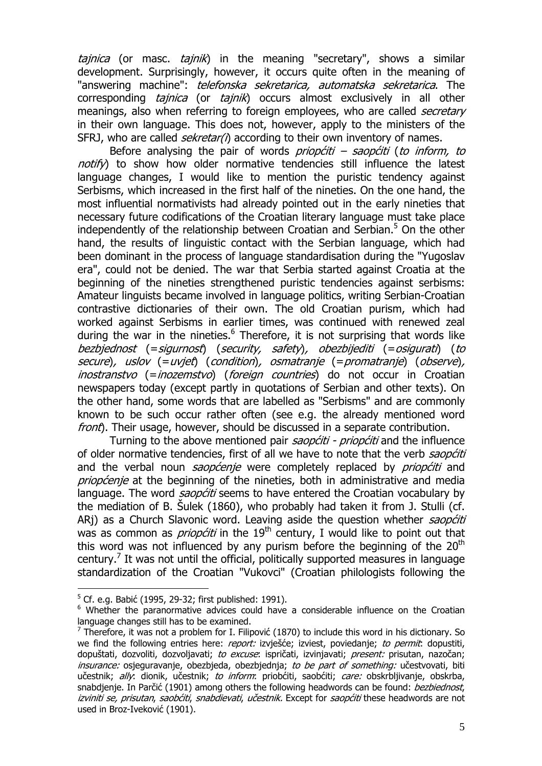tajnica (or masc. tajnik) in the meaning "secretary", shows a similar development. Surprisingly, however, it occurs quite often in the meaning of "answering machine": *telefonska sekretarica, automatska sekretarica*. The corresponding *tajnica* (or *tajnik*) occurs almost exclusively in all other meanings, also when referring to foreign employees, who are called *secretary* in their own language. This does not, however, apply to the ministers of the SFRJ, who are called *sekretar(i)* according to their own inventory of names.

Before analysing the pair of words *priopćiti – saopćiti (to inform, to* notify) to show how older normative tendencies still influence the latest language changes, I would like to mention the puristic tendency against Serbisms, which increased in the first half of the nineties. On the one hand, the most influential normativists had already pointed out in the early nineties that necessary future codifications of the Croatian literary language must take place independently of the relationship between Croatian and Serbian.<sup>5</sup> On the other hand, the results of linguistic contact with the Serbian language, which had been dominant in the process of language standardisation during the "Yugoslav era", could not be denied. The war that Serbia started against Croatia at the beginning of the nineties strengthened puristic tendencies against serbisms: Amateur linguists became involved in language politics, writing Serbian-Croatian contrastive dictionaries of their own. The old Croatian purism, which had worked against Serbisms in earlier times, was continued with renewed zeal during the war in the nineties.<sup>6</sup> Therefore, it is not surprising that words like bezbjednost (=sigurnost) (security, safety), obezbijediti (=osigurati) (to secure), uslov (=uvjet) (condition), osmatranje (=promatranje) (observe), inostranstvo (=inozemstvo) (foreign countries) do not occur in Croatian newspapers today (except partly in quotations of Serbian and other texts). On the other hand, some words that are labelled as "Serbisms" and are commonly known to be such occur rather often (see e.g. the already mentioned word front). Their usage, however, should be discussed in a separate contribution.

Turning to the above mentioned pair *saopćiti - priopćiti* and the influence of older normative tendencies, first of all we have to note that the verb saopćiti and the verbal noun *saopćenje* were completely replaced by *priopćiti* and priopćenje at the beginning of the nineties, both in administrative and media language. The word *saopćiti* seems to have entered the Croatian vocabulary by the mediation of B. Šulek (1860), who probably had taken it from J. Stulli (cf. ARj) as a Church Slavonic word. Leaving aside the question whether saopćiti was as common as *priopćiti* in the  $19<sup>th</sup>$  century, I would like to point out that this word was not influenced by any purism before the beginning of the  $20<sup>th</sup>$ century.<sup>7</sup> It was not until the official, politically supported measures in language standardization of the Croatian "Vukovci" (Croatian philologists following the

 $5$  Cf. e.g. Babić (1995, 29-32; first published: 1991).

<sup>&</sup>lt;sup>6</sup> Whether the paranormative advices could have a considerable influence on the Croatian language changes still has to be examined.

<sup>&</sup>lt;sup>7</sup> Therefore, it was not a problem for I. Filipović (1870) to include this word in his dictionary. So we find the following entries here: *report:* izviešće; izviest, poviedanje; to permit: dopustiti, dopuštati, dozvoliti, dozvoljavati; to excuse: ispričati, izvinjavati; present: prisutan, nazočan; insurance: osjeguravanje, obezbjeda, obezbjednja; to be part of something: učestvovati, biti učestnik; ally: dionik, učestnik; to inform: priobćiti, saobćiti; care: obskrbljivanje, obskrba, snabdienie. In Parčić (1901) among others the following headwords can be found: *bezbiednost*, izviniti se, prisutan, saobćiti, snabdievati, učestnik. Except for saopćiti these headwords are not used in Broz-Iveković (1901).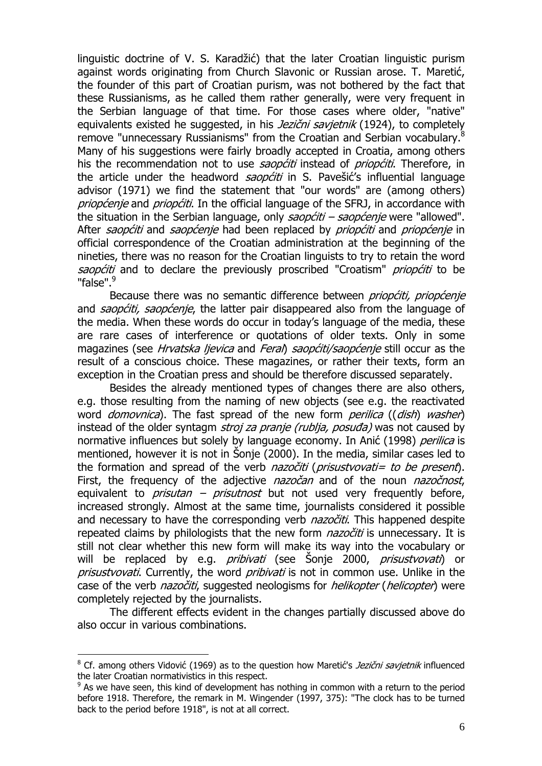linguistic doctrine of V. S. Karadžić) that the later Croatian linguistic purism against words originating from Church Slavonic or Russian arose. T. Maretić, the founder of this part of Croatian purism, was not bothered by the fact that these Russianisms, as he called them rather generally, were very frequent in the Serbian language of that time. For those cases where older, "native" equivalents existed he suggested, in his *Jezični savietnik* (1924), to completely remove "unnecessary Russianisms" from the Croatian and Serbian vocabulary.<sup>8</sup> Many of his suggestions were fairly broadly accepted in Croatia, among others his the recommendation not to use *saopćiti* instead of *priopćiti*. Therefore, in the article under the headword *saopćiti* in S. Pavešić's influential language advisor (1971) we find the statement that "our words" are (among others) priopćenje and priopćiti. In the official language of the SFRJ, in accordance with the situation in the Serbian language, only  $saop\acute{c}t\acute{t}r - saop\acute{c}enie$  were "allowed". After saopćiti and saopćenje had been replaced by priopćiti and priopćenje in official correspondence of the Croatian administration at the beginning of the nineties, there was no reason for the Croatian linguists to try to retain the word saopćiti and to declare the previously proscribed "Croatism" *priopćiti* to be "false".<sup>9</sup>

Because there was no semantic difference between *priopćiti, priopćenje* and saopćiti, saopćenje, the latter pair disappeared also from the language of the media. When these words do occur in today's language of the media, these are rare cases of interference or quotations of older texts. Only in some magazines (see Hrvatska ljevica and Feral) saopćiti/saopćenje still occur as the result of a conscious choice. These magazines, or rather their texts, form an exception in the Croatian press and should be therefore discussed separately.

Besides the already mentioned types of changes there are also others, e.g. those resulting from the naming of new objects (see e.g. the reactivated word *domovnica*). The fast spread of the new form *perilica* ((*dish*) washer) instead of the older syntagm *stroj za pranje (rublja, posuđa)* was not caused by normative influences but solely by language economy. In Anić (1998) perilica is mentioned, however it is not in Šonje (2000). In the media, similar cases led to the formation and spread of the verb *nazočiti* (*prisustvovati= to be present*). First, the frequency of the adjective *nazočan* and of the noun *nazočnost*, equivalent to *prisutan – prisutnost* but not used very frequently before, increased strongly. Almost at the same time, journalists considered it possible and necessary to have the corresponding verb *nazočiti*. This happened despite repeated claims by philologists that the new form *nazočiti* is unnecessary. It is still not clear whether this new form will make its way into the vocabulary or will be replaced by e.g. *pribivati* (see Šonje 2000, *prisustvovati*) or prisustvovati. Currently, the word *pribivati* is not in common use. Unlike in the case of the verb *nazočiti*, suggested neologisms for *helikopter* (*helicopter*) were completely rejected by the journalists.

The different effects evident in the changes partially discussed above do also occur in various combinations.

<sup>&</sup>lt;sup>8</sup> Cf. among others Vidović (1969) as to the question how Maretić's *Jezični savjetnik* influenced the later Croatian normativistics in this respect.

 $9$  As we have seen, this kind of development has nothing in common with a return to the period before 1918. Therefore, the remark in M. Wingender (1997, 375): "The clock has to be turned back to the period before 1918", is not at all correct.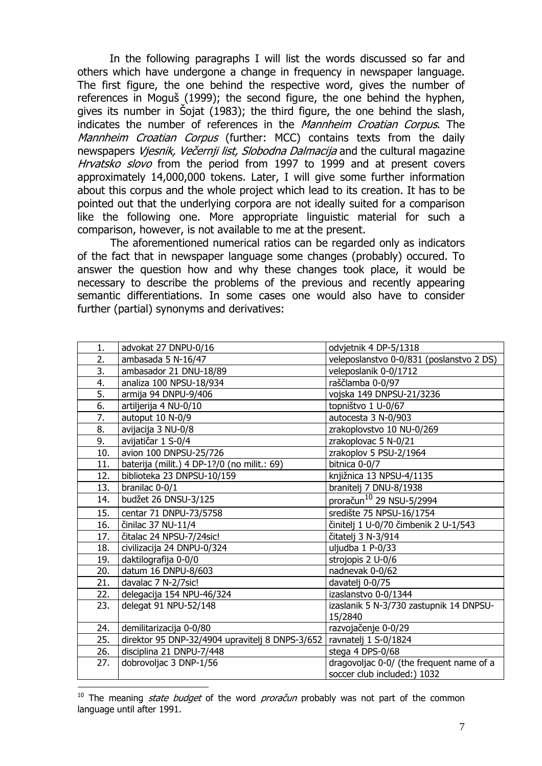In the following paragraphs I will list the words discussed so far and others which have undergone a change in frequency in newspaper language. The first figure, the one behind the respective word, gives the number of references in Moguš (1999); the second figure, the one behind the hyphen, gives its number in Šojat (1983); the third figure, the one behind the slash, indicates the number of references in the *Mannheim Croatian Corpus*. The Mannheim Croatian Corpus (further: MCC) contains texts from the daily newspapers Viesnik, Večernij list, Slobodna Dalmacija and the cultural magazine Hrvatsko slovo from the period from 1997 to 1999 and at present covers approximately 14,000,000 tokens. Later, I will give some further information about this corpus and the whole project which lead to its creation. It has to be pointed out that the underlying corpora are not ideally suited for a comparison like the following one. More appropriate linguistic material for such a comparison, however, is not available to me at the present.

The aforementioned numerical ratios can be regarded only as indicators of the fact that in newspaper language some changes (probably) occured. To answer the question how and why these changes took place, it would be necessary to describe the problems of the previous and recently appearing semantic differentiations. In some cases one would also have to consider further (partial) synonyms and derivatives:

| 1.               | advokat 27 DNPU-0/16                            | odvjetnik 4 DP-5/1318                    |  |  |
|------------------|-------------------------------------------------|------------------------------------------|--|--|
| 2.               | ambasada 5 N-16/47                              | veleposlanstvo 0-0/831 (poslanstvo 2 DS) |  |  |
| 3.               | ambasador 21 DNU-18/89                          | veleposlanik 0-0/1712                    |  |  |
| 4.               | analiza 100 NPSU-18/934                         | raščlamba 0-0/97                         |  |  |
| 5.               | armija 94 DNPU-9/406                            | vojska 149 DNPSU-21/3236                 |  |  |
| $\overline{6}$ . | artiljerija 4 NU-0/10                           | topništvo 1 U-0/67                       |  |  |
| 7.               | autoput 10 N-0/9                                | autocesta 3 N-0/903                      |  |  |
| 8.               | avijacija 3 NU-0/8                              | zrakoplovstvo 10 NU-0/269                |  |  |
| 9.               | avijatičar 1 S-0/4                              | zrakoplovac 5 N-0/21                     |  |  |
| 10.              | avion 100 DNPSU-25/726                          | zrakoplov 5 PSU-2/1964                   |  |  |
| 11.              | baterija (milit.) 4 DP-1?/0 (no milit.: 69)     | bitnica 0-0/7                            |  |  |
| 12.              | biblioteka 23 DNPSU-10/159                      | knjižnica 13 NPSU-4/1135                 |  |  |
| 13.              | branilac 0-0/1                                  | branitelj 7 DNU-8/1938                   |  |  |
| 14.              | budžet 26 DNSU-3/125                            | proračun <sup>10</sup> 29 NSU-5/2994     |  |  |
| 15.              | centar 71 DNPU-73/5758                          | središte 75 NPSU-16/1754                 |  |  |
| 16.              | činilac 37 NU-11/4                              | činitelj 1 U-0/70 čimbenik 2 U-1/543     |  |  |
| 17.              | čitalac 24 NPSU-7/24sic!                        | čitatelj 3 N-3/914                       |  |  |
| 18.              | civilizacija 24 DNPU-0/324                      | uljudba 1 P-0/33                         |  |  |
| 19.              | daktilografija 0-0/0                            | strojopis 2 U-0/6                        |  |  |
| 20.              | datum 16 DNPU-8/603                             | nadnevak 0-0/62                          |  |  |
| 21.              | davalac 7 N-2/7sic!                             | davatelj 0-0/75                          |  |  |
| 22.              | delegacija 154 NPU-46/324                       | izaslanstvo 0-0/1344                     |  |  |
| 23.              | delegat 91 NPU-52/148                           | izaslanik 5 N-3/730 zastupnik 14 DNPSU-  |  |  |
|                  |                                                 | 15/2840                                  |  |  |
| 24.              | demilitarizacija 0-0/80                         | razvojačenje 0-0/29                      |  |  |
| 25.              | direktor 95 DNP-32/4904 upravitelj 8 DNPS-3/652 | ravnatelj 1 S-0/1824                     |  |  |
| 26.              | disciplina 21 DNPU-7/448                        | stega 4 DPS-0/68                         |  |  |
| 27.              | dobrovoljac 3 DNP-1/56                          | dragovoljac 0-0/ (the frequent name of a |  |  |
|                  |                                                 | soccer club included:) 1032              |  |  |

<sup>&</sup>lt;sup>10</sup> The meaning *state budget* of the word *proračun* probably was not part of the common language until after 1991.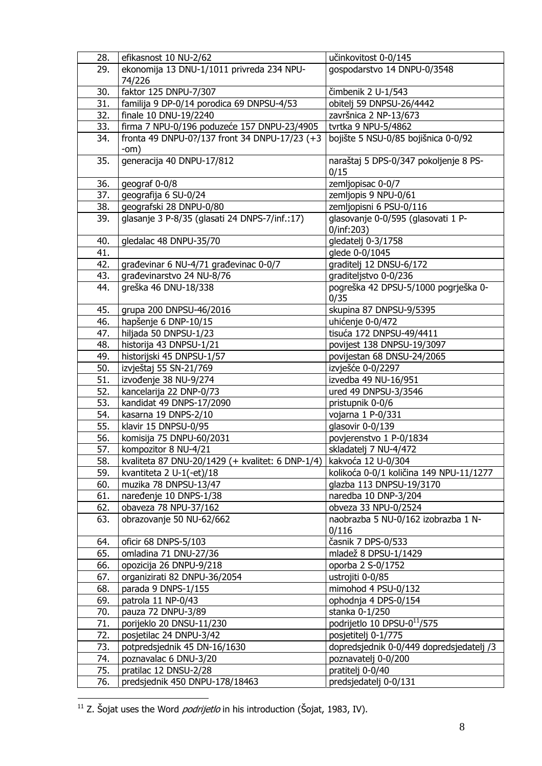| 28.        | efikasnost 10 NU-2/62                            | učinkovitost 0-0/145                     |  |  |
|------------|--------------------------------------------------|------------------------------------------|--|--|
| 29.        | ekonomija 13 DNU-1/1011 privreda 234 NPU-        | gospodarstvo 14 DNPU-0/3548              |  |  |
|            | 74/226                                           |                                          |  |  |
| 30.        | faktor 125 DNPU-7/307                            | čimbenik 2 U-1/543                       |  |  |
| 31.        | familija 9 DP-0/14 porodica 69 DNPSU-4/53        | obitelj 59 DNPSU-26/4442                 |  |  |
| 32.        | finale 10 DNU-19/2240                            | završnica 2 NP-13/673                    |  |  |
| 33.        | firma 7 NPU-0/196 poduzeće 157 DNPU-23/4905      | tvrtka 9 NPU-5/4862                      |  |  |
| 34.        | fronta 49 DNPU-0?/137 front 34 DNPU-17/23 (+3    | bojište 5 NSU-0/85 bojišnica 0-0/92      |  |  |
|            | $-om)$                                           |                                          |  |  |
| 35.        | generacija 40 DNPU-17/812                        | naraštaj 5 DPS-0/347 pokoljenje 8 PS-    |  |  |
|            |                                                  | 0/15                                     |  |  |
| 36.        | geograf 0-0/8                                    | zemljopisac 0-0/7                        |  |  |
| 37.        | geografija 6 SU-0/24                             | zemljopis 9 NPU-0/61                     |  |  |
| 38.        | geografski 28 DNPU-0/80                          | zemljopisni 6 PSU-0/116                  |  |  |
| 39.        | glasanje 3 P-8/35 (glasati 24 DNPS-7/inf.:17)    | glasovanje 0-0/595 (glasovati 1 P-       |  |  |
|            |                                                  | 0/inf:203)                               |  |  |
| 40.        | gledalac 48 DNPU-35/70                           | gledatelj 0-3/1758                       |  |  |
| 41.        |                                                  | glede 0-0/1045                           |  |  |
| 42.        | građevinar 6 NU-4/71 građevinac 0-0/7            | graditelj 12 DNSU-6/172                  |  |  |
| 43.        | građevinarstvo 24 NU-8/76                        | graditeljstvo 0-0/236                    |  |  |
| 44.        | greška 46 DNU-18/338                             | pogreška 42 DPSU-5/1000 pogrješka 0-     |  |  |
|            |                                                  | 0/35                                     |  |  |
| 45.        | grupa 200 DNPSU-46/2016                          | skupina 87 DNPSU-9/5395                  |  |  |
| 46.        | hapšenje 6 DNP-10/15                             | uhićenje 0-0/472                         |  |  |
| 47.        | hiljada 50 DNPSU-1/23                            | tisuća 172 DNPSU-49/4411                 |  |  |
| 48.        | historija 43 DNPSU-1/21                          | povijest 138 DNPSU-19/3097               |  |  |
| 49.        | historijski 45 DNPSU-1/57                        | povijestan 68 DNSU-24/2065               |  |  |
| 50.        | izvještaj 55 SN-21/769                           | izvješće 0-0/2297                        |  |  |
| 51.        | izvođenje 38 NU-9/274                            | izvedba 49 NU-16/951                     |  |  |
| 52.        | kancelarija 22 DNP-0/73                          | ured 49 DNPSU-3/3546                     |  |  |
| 53.        | kandidat 49 DNPS-17/2090                         | pristupnik 0-0/6                         |  |  |
| 54.        | kasarna 19 DNPS-2/10                             | vojarna 1 P-0/331                        |  |  |
| 55.        | klavir 15 DNPSU-0/95                             | glasovir 0-0/139                         |  |  |
| 56.        | komisija 75 DNPU-60/2031                         | povjerenstvo 1 P-0/1834                  |  |  |
| 57.        | kompozitor 8 NU-4/21                             | skladatelj 7 NU-4/472                    |  |  |
| 58.        | kvaliteta 87 DNU-20/1429 (+ kvalitet: 6 DNP-1/4) | kakvoća 12 U-0/304                       |  |  |
| 59.        | kvantiteta 2 U-1 $(-et)/18$                      | kolikoća 0-0/1 količina 149 NPU-11/1277  |  |  |
| 60.        | muzika 78 DNPSU-13/47                            | glazba 113 DNPSU-19/3170                 |  |  |
| 61.        | naređenje 10 DNPS-1/38                           | naredba 10 DNP-3/204                     |  |  |
| 62.        | obaveza 78 NPU-37/162                            | obveza 33 NPU-0/2524                     |  |  |
| 63.        | obrazovanje 50 NU-62/662                         | naobrazba 5 NU-0/162 izobrazba 1 N-      |  |  |
|            |                                                  | 0/116                                    |  |  |
| 64.        | oficir 68 DNPS-5/103                             | časnik 7 DPS-0/533                       |  |  |
| 65.        | omladina 71 DNU-27/36                            | mladež 8 DPSU-1/1429                     |  |  |
| 66.        | opozicija 26 DNPU-9/218                          | oporba 2 S-0/1752                        |  |  |
| 67.        | organizirati 82 DNPU-36/2054                     | ustrojiti 0-0/85                         |  |  |
| 68.        | parada 9 DNPS-1/155                              | mimohod 4 PSU-0/132                      |  |  |
| 69.        | patrola 11 NP-0/43                               | ophodnja 4 DPS-0/154                     |  |  |
| 70.        | pauza 72 DNPU-3/89                               | stanka 0-1/250                           |  |  |
| 71.        | porijeklo 20 DNSU-11/230                         | podrijetlo 10 DPSU-0 <sup>11</sup> /575  |  |  |
| 72.        | posjetilac 24 DNPU-3/42                          | posjetitelj 0-1/775                      |  |  |
| 73.        | potpredsjednik 45 DN-16/1630                     | dopredsjednik 0-0/449 dopredsjedatelj /3 |  |  |
| 74.        | poznavalac 6 DNU-3/20                            | poznavatelj 0-0/200                      |  |  |
|            | pratilac 12 DNSU-2/28                            | pratitelj 0-0/40                         |  |  |
| 75.<br>76. | predsjednik 450 DNPU-178/18463                   |                                          |  |  |
|            |                                                  | predsjedatelj 0-0/131                    |  |  |

 $^{11}$  Z. Šojat uses the Word *podrijetlo* in his introduction (Šojat, 1983, IV).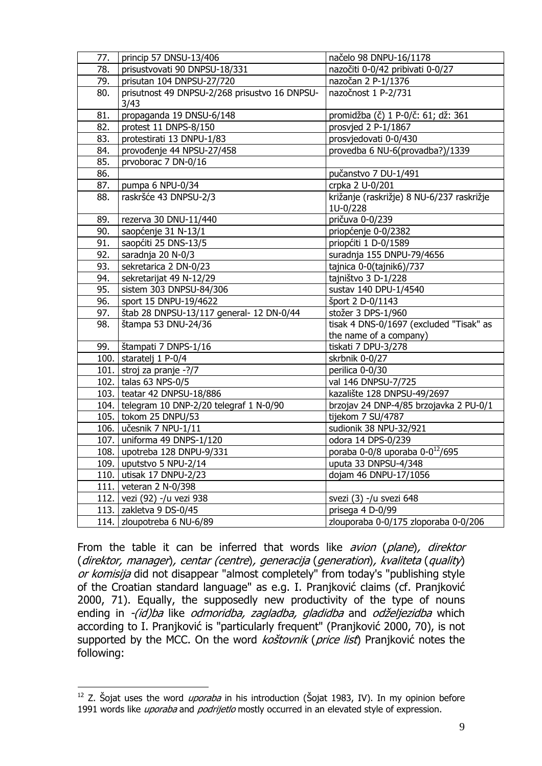| 77. | princip 57 DNSU-13/406                        | načelo 98 DNPU-16/1178                                |  |  |
|-----|-----------------------------------------------|-------------------------------------------------------|--|--|
| 78. | prisustvovati 90 DNPSU-18/331                 | nazočiti 0-0/42 pribivati 0-0/27                      |  |  |
| 79. | prisutan 104 DNPSU-27/720                     | nazočan 2 P-1/1376                                    |  |  |
| 80. | prisutnost 49 DNPSU-2/268 prisustvo 16 DNPSU- | nazočnost 1 P-2/731                                   |  |  |
|     | 3/43                                          |                                                       |  |  |
| 81. | propaganda 19 DNSU-6/148                      | promidžba (č) 1 P-0/č: 61; dž: 361                    |  |  |
| 82. | protest 11 DNPS-8/150                         | prosvjed 2 P-1/1867                                   |  |  |
| 83. | protestirati 13 DNPU-1/83                     | prosvjedovati 0-0/430                                 |  |  |
| 84. | provođenje 44 NPSU-27/458                     | provedba 6 NU-6(provadba?)/1339                       |  |  |
| 85. | prvoborac 7 DN-0/16                           |                                                       |  |  |
| 86. |                                               | pučanstvo 7 DU-1/491                                  |  |  |
| 87. | pumpa 6 NPU-0/34                              | crpka 2 U-0/201                                       |  |  |
| 88. | raskršće 43 DNPSU-2/3                         | križanje (raskrižje) 8 NU-6/237 raskrižje<br>1U-0/228 |  |  |
| 89. | rezerva 30 DNU-11/440                         | pričuva 0-0/239                                       |  |  |
| 90. | saopćenje 31 N-13/1                           | priopćenje 0-0/2382                                   |  |  |
| 91. | saopćiti 25 DNS-13/5                          | priopćiti 1 D-0/1589                                  |  |  |
| 92. | saradnja 20 N-0/3                             | suradnja 155 DNPU-79/4656                             |  |  |
| 93. | sekretarica 2 DN-0/23                         | tajnica 0-0(tajnik6)/737                              |  |  |
| 94. | sekretarijat 49 N-12/29                       | tajništvo 3 D-1/228                                   |  |  |
| 95. | sistem 303 DNPSU-84/306                       | sustav 140 DPU-1/4540                                 |  |  |
| 96. | sport 15 DNPU-19/4622                         | šport 2 D-0/1143                                      |  |  |
| 97. | štab 28 DNPSU-13/117 general- 12 DN-0/44      | stožer 3 DPS-1/960                                    |  |  |
| 98. | štampa 53 DNU-24/36                           | tisak 4 DNS-0/1697 (excluded "Tisak" as               |  |  |
|     |                                               | the name of a company)                                |  |  |
| 99. | štampati 7 DNPS-1/16                          | tiskati 7 DPU-3/278                                   |  |  |
|     | 100. staratelj 1 P-0/4                        | skrbnik 0-0/27                                        |  |  |
|     | 101. stroj za pranje $-$ ?/7                  | perilica 0-0/30                                       |  |  |
|     | 102. talas 63 NPS-0/5                         | val 146 DNPSU-7/725                                   |  |  |
|     | 103. teatar 42 DNPSU-18/886                   | kazalište 128 DNPSU-49/2697                           |  |  |
|     | 104.   telegram 10 DNP-2/20 telegraf 1 N-0/90 | brzojav 24 DNP-4/85 brzojavka 2 PU-0/1                |  |  |
|     | 105. tokom 25 DNPU/53                         | tijekom 7 SU/4787                                     |  |  |
|     | 106. učesnik 7 NPU-1/11                       | sudionik 38 NPU-32/921                                |  |  |
|     | 107. uniforma 49 DNPS-1/120                   | odora 14 DPS-0/239                                    |  |  |
|     | 108. upotreba 128 DNPU-9/331                  | poraba 0-0/8 uporaba $0 - 0^{12}$ /695                |  |  |
|     | 109. uputstvo 5 NPU-2/14                      | uputa 33 DNPSU-4/348                                  |  |  |
|     | 110. utisak 17 DNPU-2/23                      | dojam 46 DNPU-17/1056                                 |  |  |
|     | 111. veteran 2 N-0/398                        |                                                       |  |  |
|     | 112. vezi (92) -/u vezi 938                   | svezi (3) -/u svezi 648                               |  |  |
|     | 113. zakletva 9 DS-0/45                       | prisega 4 D-0/99                                      |  |  |
|     | 114. zloupotreba 6 NU-6/89                    | zlouporaba 0-0/175 zloporaba 0-0/206                  |  |  |

From the table it can be inferred that words like *avion (plane), direktor* (direktor, manager), centar (centre), generacija (generation), kvaliteta (quality) or komisija did not disappear "almost completely" from today's "publishing style of the Croatian standard language" as e.g. I. Pranjković claims (cf. Pranjković 2000, 71). Equally, the supposedly new productivity of the type of nouns ending in -(id)ba like *odmoridba, zagladba, gladidba* and *odželjezidba* which according to I. Pranjković is "particularly frequent" (Pranjković 2000, 70), is not supported by the MCC. On the word kostovnik (price list) Pranjković notes the following:

 $\overline{a}$  $12$  Z. Šojat uses the word *uporaba* in his introduction (Šojat 1983, IV). In my opinion before 1991 words like *uporaba* and *podrijetlo* mostly occurred in an elevated style of expression.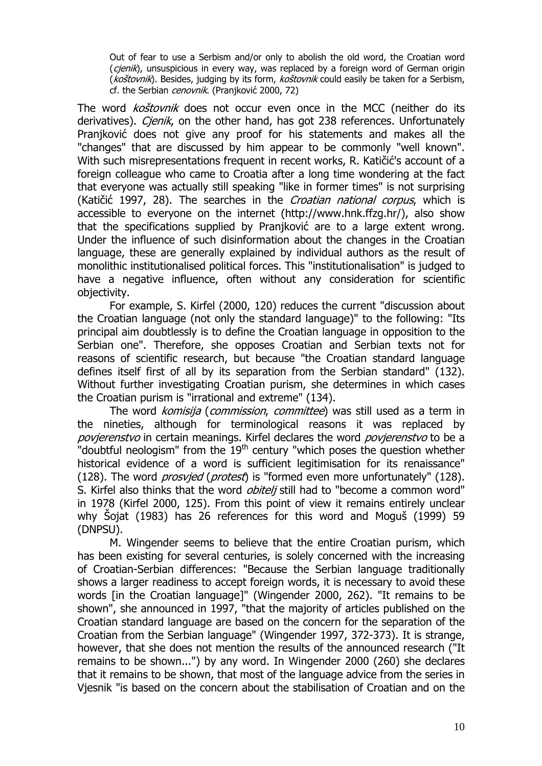Out of fear to use a Serbism and/or only to abolish the old word, the Croatian word ( $cienik$ ), unsuspicious in every way, was replaced by a foreign word of German origin (koštovnik). Besides, judging by its form, koštovnik could easily be taken for a Serbism, cf. the Serbian cenovnik. (Pranjković 2000, 72)

The word *koštovnik* does not occur even once in the MCC (neither do its derivatives). *Cjenik*, on the other hand, has got 238 references. Unfortunately Pranjković does not give any proof for his statements and makes all the "changes" that are discussed by him appear to be commonly "well known". With such misrepresentations frequent in recent works, R. Katičić's account of a foreign colleague who came to Croatia after a long time wondering at the fact that everyone was actually still speaking "like in former times" is not surprising (Katičić 1997, 28). The searches in the *Croatian national corpus*, which is accessible to everyone on the internet (http://www.hnk.ffzg.hr/), also show that the specifications supplied by Pranjković are to a large extent wrong. Under the influence of such disinformation about the changes in the Croatian language, these are generally explained by individual authors as the result of monolithic institutionalised political forces. This "institutionalisation" is judged to have a negative influence, often without any consideration for scientific objectivity.

For example, S. Kirfel (2000, 120) reduces the current "discussion about the Croatian language (not only the standard language)" to the following: "Its principal aim doubtlessly is to define the Croatian language in opposition to the Serbian one". Therefore, she opposes Croatian and Serbian texts not for reasons of scientific research, but because "the Croatian standard language defines itself first of all by its separation from the Serbian standard" (132). Without further investigating Croatian purism, she determines in which cases the Croatian purism is "irrational and extreme" (134).

The word komisija (commission, committee) was still used as a term in the nineties, although for terminological reasons it was replaced by povierenstvo in certain meanings. Kirfel declares the word povierenstvo to be a "doubtful neologism" from the  $19<sup>th</sup>$  century "which poses the question whether historical evidence of a word is sufficient legitimisation for its renaissance" (128). The word *prosvied* (*protest*) is "formed even more unfortunately" (128). S. Kirfel also thinks that the word *obitelj* still had to "become a common word" in 1978 (Kirfel 2000, 125). From this point of view it remains entirely unclear why Šojat (1983) has 26 references for this word and Moguš (1999) 59 (DNPSU).

 M. Wingender seems to believe that the entire Croatian purism, which has been existing for several centuries, is solely concerned with the increasing of Croatian-Serbian differences: "Because the Serbian language traditionally shows a larger readiness to accept foreign words, it is necessary to avoid these words [in the Croatian language]" (Wingender 2000, 262). "It remains to be shown", she announced in 1997, "that the majority of articles published on the Croatian standard language are based on the concern for the separation of the Croatian from the Serbian language" (Wingender 1997, 372-373). It is strange, however, that she does not mention the results of the announced research ("It remains to be shown...") by any word. In Wingender 2000 (260) she declares that it remains to be shown, that most of the language advice from the series in Vjesnik "is based on the concern about the stabilisation of Croatian and on the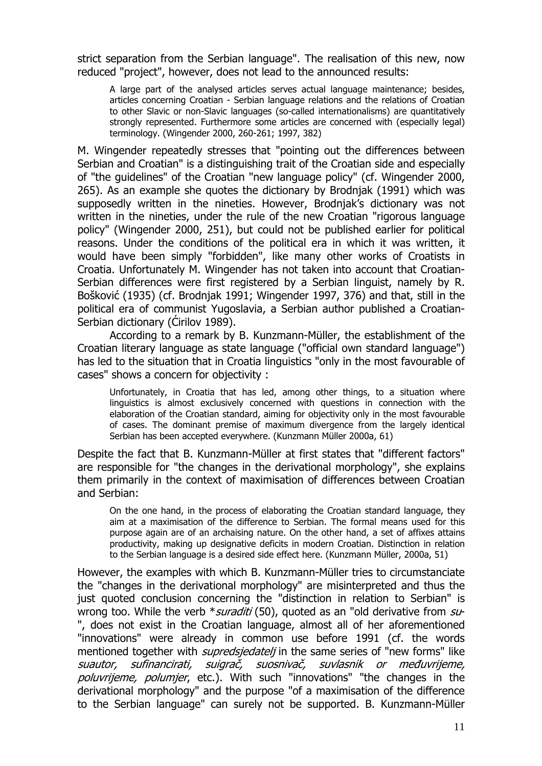strict separation from the Serbian language". The realisation of this new, now reduced "project", however, does not lead to the announced results:

A large part of the analysed articles serves actual language maintenance; besides, articles concerning Croatian - Serbian language relations and the relations of Croatian to other Slavic or non-Slavic languages (so-called internationalisms) are quantitatively strongly represented. Furthermore some articles are concerned with (especially legal) terminology. (Wingender 2000, 260-261; 1997, 382)

M. Wingender repeatedly stresses that "pointing out the differences between Serbian and Croatian" is a distinguishing trait of the Croatian side and especially of "the guidelines" of the Croatian "new language policy" (cf. Wingender 2000, 265). As an example she quotes the dictionary by Brodnjak (1991) which was supposedly written in the nineties. However, Brodnjak's dictionary was not written in the nineties, under the rule of the new Croatian "rigorous language policy" (Wingender 2000, 251), but could not be published earlier for political reasons. Under the conditions of the political era in which it was written, it would have been simply "forbidden", like many other works of Croatists in Croatia. Unfortunately M. Wingender has not taken into account that Croatian-Serbian differences were first registered by a Serbian linguist, namely by R. Bošković (1935) (cf. Brodnjak 1991; Wingender 1997, 376) and that, still in the political era of communist Yugoslavia, a Serbian author published a Croatian-Serbian dictionary (Cirilov 1989).

According to a remark by B. Kunzmann-Müller, the establishment of the Croatian literary language as state language ("official own standard language") has led to the situation that in Croatia linguistics "only in the most favourable of cases" shows a concern for objectivity :

Unfortunately, in Croatia that has led, among other things, to a situation where linguistics is almost exclusively concerned with questions in connection with the elaboration of the Croatian standard, aiming for objectivity only in the most favourable of cases. The dominant premise of maximum divergence from the largely identical Serbian has been accepted everywhere. (Kunzmann Müller 2000a, 61)

Despite the fact that B. Kunzmann-Müller at first states that "different factors" are responsible for "the changes in the derivational morphology", she explains them primarily in the context of maximisation of differences between Croatian and Serbian:

On the one hand, in the process of elaborating the Croatian standard language, they aim at a maximisation of the difference to Serbian. The formal means used for this purpose again are of an archaising nature. On the other hand, a set of affixes attains productivity, making up designative deficits in modern Croatian. Distinction in relation to the Serbian language is a desired side effect here. (Kunzmann Müller, 2000a, 51)

However, the examples with which B. Kunzmann-Müller tries to circumstanciate the "changes in the derivational morphology" are misinterpreted and thus the just quoted conclusion concerning the "distinction in relation to Serbian" is wrong too. While the verb  $*$  *suraditi* (50), quoted as an "old derivative from  $\mathfrak{su}$ -", does not exist in the Croatian language, almost all of her aforementioned "innovations" were already in common use before 1991 (cf. the words mentioned together with *supredsjedatelj* in the same series of "new forms" like suautor, sufinancirati, suigrač, suosnivač, suvlasnik or međuvrijeme, poluvrijeme, polumjer, etc.). With such "innovations" "the changes in the derivational morphology" and the purpose "of a maximisation of the difference to the Serbian language" can surely not be supported. B. Kunzmann-Müller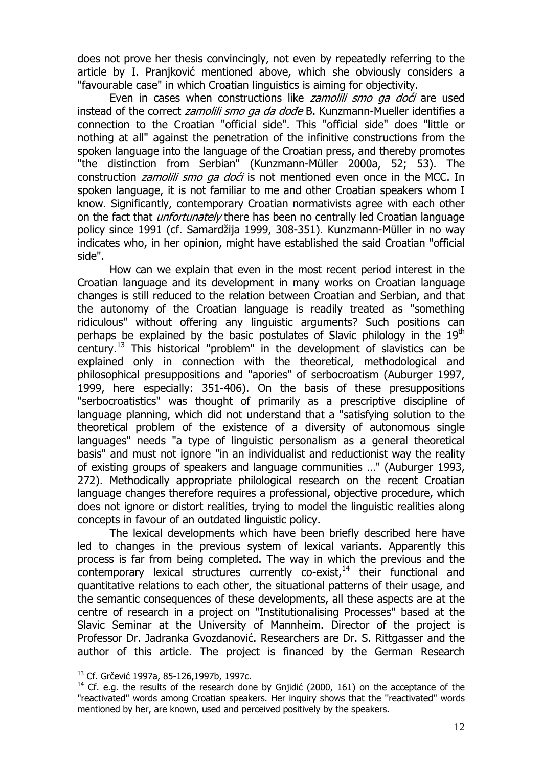does not prove her thesis convincingly, not even by repeatedly referring to the article by I. Pranjković mentioned above, which she obviously considers a "favourable case" in which Croatian linguistics is aiming for objectivity.

Even in cases when constructions like *zamolili smo ga doći* are used instead of the correct *zamolili smo ga da dođe* B. Kunzmann-Mueller identifies a connection to the Croatian "official side". This "official side" does "little or nothing at all" against the penetration of the infinitive constructions from the spoken language into the language of the Croatian press, and thereby promotes "the distinction from Serbian" (Kunzmann-Müller 2000a, 52; 53). The construction *zamolili smo ga doći* is not mentioned even once in the MCC. In spoken language, it is not familiar to me and other Croatian speakers whom I know. Significantly, contemporary Croatian normativists agree with each other on the fact that *unfortunately* there has been no centrally led Croatian language policy since 1991 (cf. Samardžija 1999, 308-351). Kunzmann-Müller in no way indicates who, in her opinion, might have established the said Croatian "official side".

How can we explain that even in the most recent period interest in the Croatian language and its development in many works on Croatian language changes is still reduced to the relation between Croatian and Serbian, and that the autonomy of the Croatian language is readily treated as "something ridiculous" without offering any linguistic arguments? Such positions can perhaps be explained by the basic postulates of Slavic philology in the  $19<sup>th</sup>$ century.<sup>13</sup> This historical "problem" in the development of slavistics can be explained only in connection with the theoretical, methodological and philosophical presuppositions and "apories" of serbocroatism (Auburger 1997, 1999, here especially: 351-406). On the basis of these presuppositions "serbocroatistics" was thought of primarily as a prescriptive discipline of language planning, which did not understand that a "satisfying solution to the theoretical problem of the existence of a diversity of autonomous single languages" needs "a type of linguistic personalism as a general theoretical basis" and must not ignore "in an individualist and reductionist way the reality of existing groups of speakers and language communities …" (Auburger 1993, 272). Methodically appropriate philological research on the recent Croatian language changes therefore requires a professional, objective procedure, which does not ignore or distort realities, trying to model the linguistic realities along concepts in favour of an outdated linguistic policy.

The lexical developments which have been briefly described here have led to changes in the previous system of lexical variants. Apparently this process is far from being completed. The way in which the previous and the contemporary lexical structures currently co-exist, $14$  their functional and quantitative relations to each other, the situational patterns of their usage, and the semantic consequences of these developments, all these aspects are at the centre of research in a project on "Institutionalising Processes" based at the Slavic Seminar at the University of Mannheim. Director of the project is Professor Dr. Jadranka Gvozdanović. Researchers are Dr. S. Rittgasser and the author of this article. The project is financed by the German Research

<sup>13</sup> Cf. Grčević 1997a, 85-126,1997b, 1997c.

 $14$  Cf. e.g. the results of the research done by Gniidić (2000, 161) on the acceptance of the "reactivated" words among Croatian speakers. Her inquiry shows that the ''reactivated'' words mentioned by her, are known, used and perceived positively by the speakers.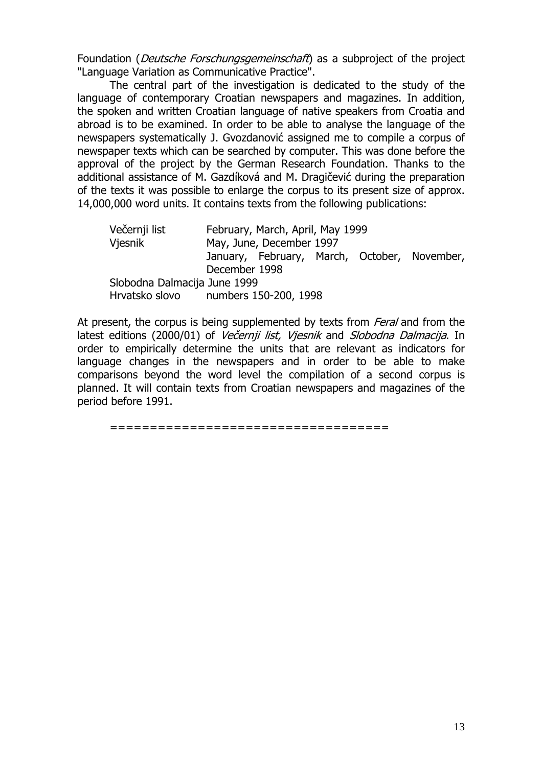Foundation (*Deutsche Forschungsgemeinschaft*) as a subproject of the project "Language Variation as Communicative Practice".

The central part of the investigation is dedicated to the study of the language of contemporary Croatian newspapers and magazines. In addition, the spoken and written Croatian language of native speakers from Croatia and abroad is to be examined. In order to be able to analyse the language of the newspapers systematically J. Gvozdanović assigned me to compile a corpus of newspaper texts which can be searched by computer. This was done before the approval of the project by the German Research Foundation. Thanks to the additional assistance of M. Gazdíková and M. Dragičević during the preparation of the texts it was possible to enlarge the corpus to its present size of approx. 14,000,000 word units. It contains texts from the following publications:

| Večernji list<br>Vjesnik             | February, March, April, May 1999<br>May, June, December 1997 |  |  |  |                                              |  |  |
|--------------------------------------|--------------------------------------------------------------|--|--|--|----------------------------------------------|--|--|
|                                      | December 1998                                                |  |  |  | January, February, March, October, November, |  |  |
| Slobodna Dalmacija June 1999         |                                                              |  |  |  |                                              |  |  |
| Hrvatsko slovo numbers 150-200, 1998 |                                                              |  |  |  |                                              |  |  |

At present, the corpus is being supplemented by texts from *Feral* and from the latest editions (2000/01) of Večernij list, Viesnik and Slobodna Dalmacija. In order to empirically determine the units that are relevant as indicators for language changes in the newspapers and in order to be able to make comparisons beyond the word level the compilation of a second corpus is planned. It will contain texts from Croatian newspapers and magazines of the period before 1991.

===================================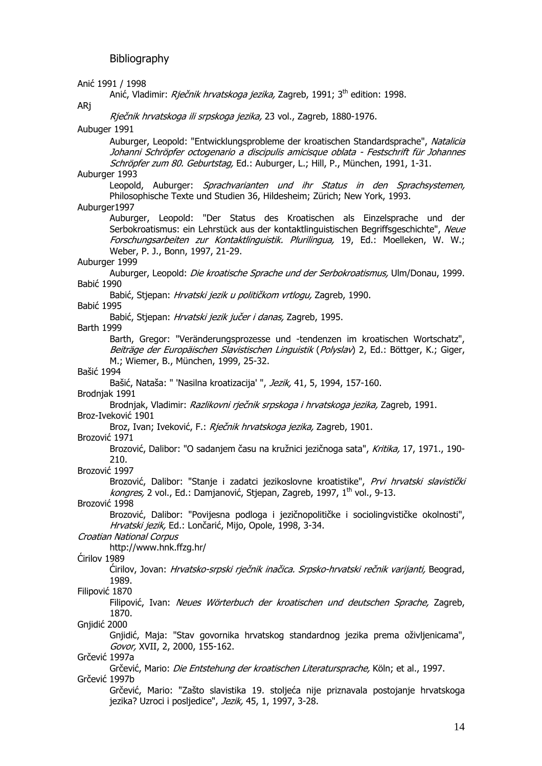Anić 1991 / 1998 Anić, Vladimir: Rječnik hrvatskoga jezika, Zagreb, 1991; 3<sup>th</sup> edition: 1998. ARj Rječnik hrvatskoga ili srpskoga jezika, 23 vol., Zagreb, 1880-1976. Aubuger 1991 Auburger, Leopold: "Entwicklungsprobleme der kroatischen Standardsprache", Natalicia Johanni Schröpfer octogenario a discipulis amicisque oblata - Festschrift für Johannes Schröpfer zum 80. Geburtstag, Ed.: Auburger, L.; Hill, P., München, 1991, 1-31. Auburger 1993 Leopold, Auburger: *Sprachvarianten und ihr Status in den Sprachsystemen*, Philosophische Texte und Studien 36, Hildesheim; Zürich; New York, 1993. Auburger1997 Auburger, Leopold: "Der Status des Kroatischen als Einzelsprache und der Serbokroatismus: ein Lehrstück aus der kontaktlinguistischen Begriffsgeschichte", Neue Forschungsarbeiten zur Kontaktlinguistik. Plurilingua, 19, Ed.: Moelleken, W. W.; Weber, P. J., Bonn, 1997, 21-29. Auburger 1999 Auburger, Leopold: Die kroatische Sprache und der Serbokroatismus, Ulm/Donau, 1999. Babić 1990 Babić, Stjepan: Hrvatski jezik u političkom vrtlogu, Zagreb, 1990. Babić 1995 Babić, Stjepan: Hrvatski jezik jučer i danas, Zagreb, 1995. Barth 1999 Barth, Gregor: "Veränderungsprozesse und -tendenzen im kroatischen Wortschatz", Beiträge der Europäischen Slavistischen Linguistik (Polyslav) 2, Ed.: Böttger, K.; Giger, M.; Wiemer, B., München, 1999, 25-32. Bašić 1994 Bašić, Nataša: " 'Nasilna kroatizacija' ", Jezik, 41, 5, 1994, 157-160. Brodnjak 1991 Brodnjak, Vladimir: Razlikovni rječnik srpskoga i hrvatskoga jezika, Zagreb, 1991. Broz-Iveković 1901 Broz, Ivan; Iveković, F.: Rječnik hrvatskoga jezika, Zagreb, 1901. Brozović 1971 Brozović, Dalibor: "O sadanjem času na kružnici jezičnoga sata", Kritika, 17, 1971., 190-210. Brozović 1997 Brozović, Dalibor: "Stanje i zadatci jezikoslovne kroatistike", Prvi hrvatski slavistički  $kongres$ , 2 vol., Ed.: Damjanović, Stjepan, Zagreb, 1997, 1<sup>th</sup> vol., 9-13. Brozović 1998 Brozović, Dalibor: "Povijesna podloga i jezičnopolitičke i sociolingvističke okolnosti", Hrvatski jezik, Ed.: Lončarić, Mijo, Opole, 1998, 3-34. Croatian National Corpus http://www.hnk.ffzg.hr/ Ćirilov 1989 Ćirilov, Jovan: Hrvatsko-srpski rječnik inačica. Srpsko-hrvatski rečnik varijanti, Beograd, 1989. Filipović 1870 Filipović, Ivan: Neues Wörterbuch der kroatischen und deutschen Sprache, Zagreb, 1870. Gnjidić 2000 Gnjidić, Maja: "Stav govornika hrvatskog standardnog jezika prema oživljenicama", Govor, XVII, 2, 2000, 155-162. Grčević 1997a Grčević, Mario: *Die Entstehung der kroatischen Literatursprache*, Köln; et al., 1997. Grčević 1997b Grčević, Mario: "Zašto slavistika 19. stoljeća nije priznavala postojanje hrvatskoga jezika? Uzroci i posljedice", Jezik, 45, 1, 1997, 3-28.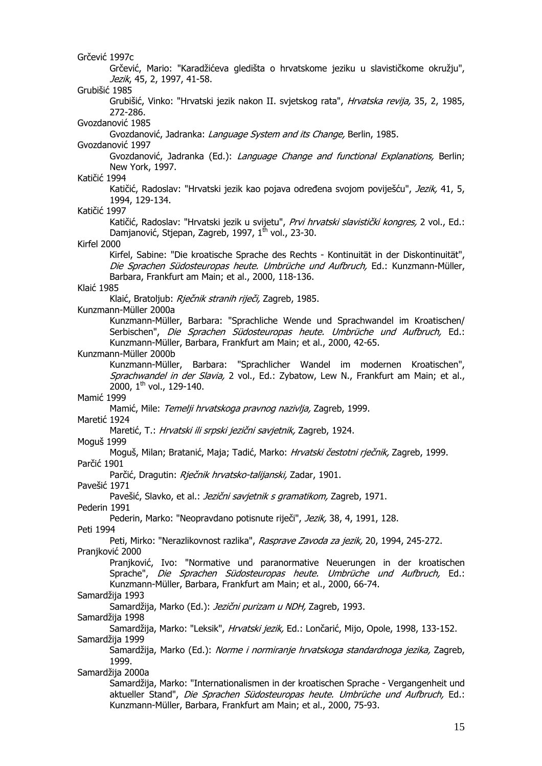Grčević 1997c Grčević, Mario: "Karadžićeva gledišta o hrvatskome jeziku u slavističkome okružju", Jezik, 45, 2, 1997, 41-58. Grubišić 1985 Grubišić, Vinko: "Hrvatski jezik nakon II. svjetskog rata", Hrvatska revija, 35, 2, 1985, 272-286. Gvozdanović 1985 Gvozdanović, Jadranka: Language System and its Change, Berlin, 1985. Gvozdanović 1997 Gvozdanović, Jadranka (Ed.): Language Change and functional Explanations, Berlin; New York, 1997. Katičić 1994 Katičić, Radoslav: "Hrvatski jezik kao pojava određena svojom poviješću", Jezik, 41, 5, 1994, 129-134. Katičić 1997 Katičić, Radoslav: "Hrvatski jezik u svijetu", *Prvi hrvatski slavistički kongres*, 2 vol., Ed.: Damjanović, Stjepan, Zagreb, 1997, 1<sup>th</sup> vol., 23-30. Kirfel 2000 Kirfel, Sabine: "Die kroatische Sprache des Rechts - Kontinuität in der Diskontinuität", Die Sprachen Südosteuropas heute. Umbrüche und Aufbruch, Ed.: Kunzmann-Müller, Barbara, Frankfurt am Main; et al., 2000, 118-136. Klaić 1985 Klaić, Bratoljub: Riečnik stranih riječi, Zagreb, 1985. Kunzmann-Müller 2000a Kunzmann-Müller, Barbara: "Sprachliche Wende und Sprachwandel im Kroatischen/ Serbischen", Die Sprachen Südosteuropas heute. Umbrüche und Aufbruch, Ed.: Kunzmann-Müller, Barbara, Frankfurt am Main; et al., 2000, 42-65. Kunzmann-Müller 2000b Kunzmann-Müller, Barbara: "Sprachlicher Wandel im modernen Kroatischen", Sprachwandel in der Slavia, 2 vol., Ed.: Zybatow, Lew N., Frankfurt am Main; et al., 2000,  $1^{th}$  vol., 129-140. Mamić 1999 Mamić, Mile: Temelji hrvatskoga pravnog nazivlja, Zagreb, 1999. Maretić 1924 Maretić, T.: Hrvatski ili srpski jezični savjetnik, Zagreb, 1924. Moguš 1999 Moguš, Milan; Bratanić, Maja; Tadić, Marko: Hrvatski čestotni rječnik, Zagreb, 1999. Parčić 1901 Parčić, Dragutin: Rječnik hrvatsko-talijanski, Zadar, 1901. Pavešić 1971 Pavešić, Slavko, et al.: Jezični savjetnik s gramatikom, Zagreb, 1971. Pederin 1991 Pederin, Marko: "Neopravdano potisnute riječi", Jezik, 38, 4, 1991, 128. Peti 1994 Peti, Mirko: "Nerazlikovnost razlika", Rasprave Zavoda za jezik, 20, 1994, 245-272. Pranjković 2000 Pranjković, Ivo: "Normative und paranormative Neuerungen in der kroatischen Sprache", Die Sprachen Südosteuropas heute. Umbrüche und Aufbruch, Ed.: Kunzmann-Müller, Barbara, Frankfurt am Main; et al., 2000, 66-74. Samardžija 1993 Samardžija, Marko (Ed.): Jezični purizam u NDH, Zagreb, 1993. Samardžija 1998 Samardžija, Marko: "Leksik", Hrvatski jezik, Ed.: Lončarić, Mijo, Opole, 1998, 133-152. Samardžija 1999 Samardžija, Marko (Ed.): Norme i normiranje hrvatskoga standardnoga jezika, Zagreb, 1999. Samardžija 2000a Samardžija, Marko: "Internationalismen in der kroatischen Sprache - Vergangenheit und aktueller Stand", Die Sprachen Südosteuropas heute. Umbrüche und Aufbruch, Ed.: Kunzmann-Müller, Barbara, Frankfurt am Main; et al., 2000, 75-93.